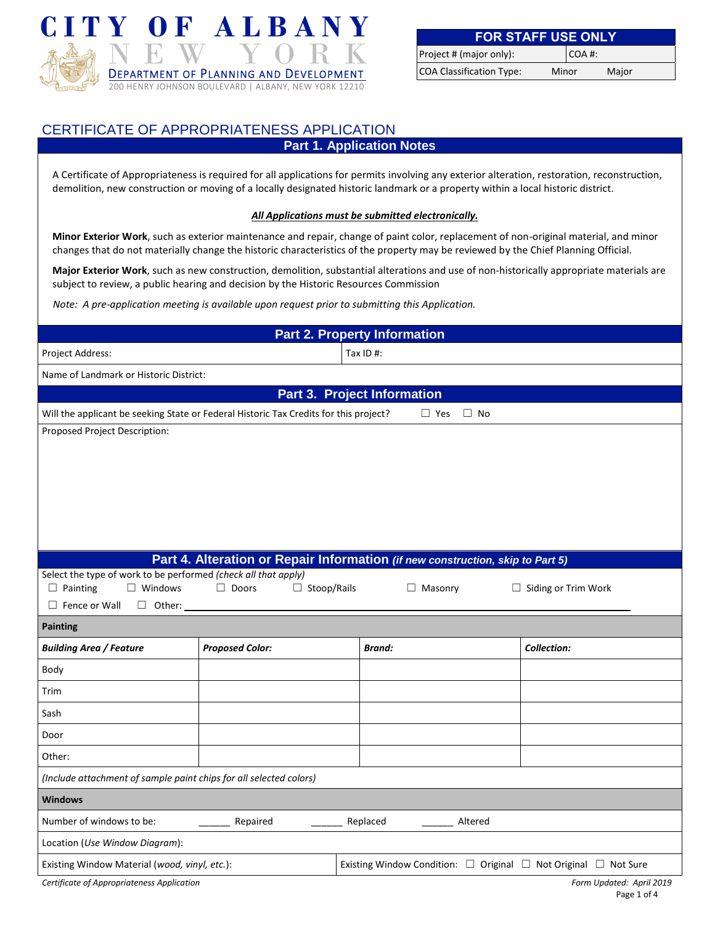

| <b>FOR STAFF USE ONLY</b>       |       |       |       |
|---------------------------------|-------|-------|-------|
| Project # (major only):         |       | COA#: |       |
| <b>COA Classification Type:</b> | Minor |       | Major |

## CERTIFICATE OF APPROPRIATENESS APPLICATION

**Part 1. Application Notes**

A Certificate of Appropriateness is required for all applications for permits involving any exterior alteration, restoration, reconstruction, demolition, new construction or moving of a locally designated historic landmark or a property within a local historic district.

## *All Applications must be submitted electronically.*

**Minor Exterior Work**, such as exterior maintenance and repair, change of paint color, replacement of non-original material, and minor changes that do not materially change the historic characteristics of the property may be reviewed by the Chief Planning Official.

**Major Exterior Work**, such as new construction, demolition, substantial alterations and use of non-historically appropriate materials are subject to review, a public hearing and decision by the Historic Resources Commission

*Note: A pre-application meeting is available upon request prior to submitting this Application.*

| <b>Part 2. Property Information</b>                                                                              |                                                                                |                                    |         |                                                                                |
|------------------------------------------------------------------------------------------------------------------|--------------------------------------------------------------------------------|------------------------------------|---------|--------------------------------------------------------------------------------|
| Project Address:                                                                                                 |                                                                                | Tax ID #:                          |         |                                                                                |
| Name of Landmark or Historic District:                                                                           |                                                                                |                                    |         |                                                                                |
|                                                                                                                  |                                                                                | <b>Part 3. Project Information</b> |         |                                                                                |
| Will the applicant be seeking State or Federal Historic Tax Credits for this project?<br>$\Box$ Yes<br>$\Box$ No |                                                                                |                                    |         |                                                                                |
| Proposed Project Description:                                                                                    |                                                                                |                                    |         |                                                                                |
|                                                                                                                  |                                                                                |                                    |         |                                                                                |
|                                                                                                                  |                                                                                |                                    |         |                                                                                |
|                                                                                                                  |                                                                                |                                    |         |                                                                                |
|                                                                                                                  |                                                                                |                                    |         |                                                                                |
|                                                                                                                  |                                                                                |                                    |         |                                                                                |
|                                                                                                                  | Part 4. Alteration or Repair Information (if new construction, skip to Part 5) |                                    |         |                                                                                |
| Select the type of work to be performed (check all that apply)                                                   |                                                                                |                                    |         |                                                                                |
| $\Box$ Windows<br>$\Box$ Painting<br>$\Box$ Fence or Wall<br>$\Box$ Other:                                       | $\Box$ Stoop/Rails<br>$\Box$ Doors                                             | $\Box$ Masonry                     |         | $\Box$ Siding or Trim Work                                                     |
| Painting                                                                                                         |                                                                                |                                    |         |                                                                                |
| <b>Building Area / Feature</b>                                                                                   | <b>Proposed Color:</b>                                                         | <b>Brand:</b>                      |         | <b>Collection:</b>                                                             |
| Body                                                                                                             |                                                                                |                                    |         |                                                                                |
|                                                                                                                  |                                                                                |                                    |         |                                                                                |
| Trim                                                                                                             |                                                                                |                                    |         |                                                                                |
|                                                                                                                  |                                                                                |                                    |         |                                                                                |
| Sash                                                                                                             |                                                                                |                                    |         |                                                                                |
| Door                                                                                                             |                                                                                |                                    |         |                                                                                |
| Other:                                                                                                           |                                                                                |                                    |         |                                                                                |
| (Include attachment of sample paint chips for all selected colors)                                               |                                                                                |                                    |         |                                                                                |
| <b>Windows</b>                                                                                                   |                                                                                |                                    |         |                                                                                |
| Number of windows to be:                                                                                         | Repaired                                                                       | Replaced                           | Altered |                                                                                |
| Location (Use Window Diagram):                                                                                   |                                                                                |                                    |         |                                                                                |
| Existing Window Material (wood, vinyl, etc.):                                                                    |                                                                                |                                    |         | Existing Window Condition: $\Box$ Original $\Box$ Not Original $\Box$ Not Sure |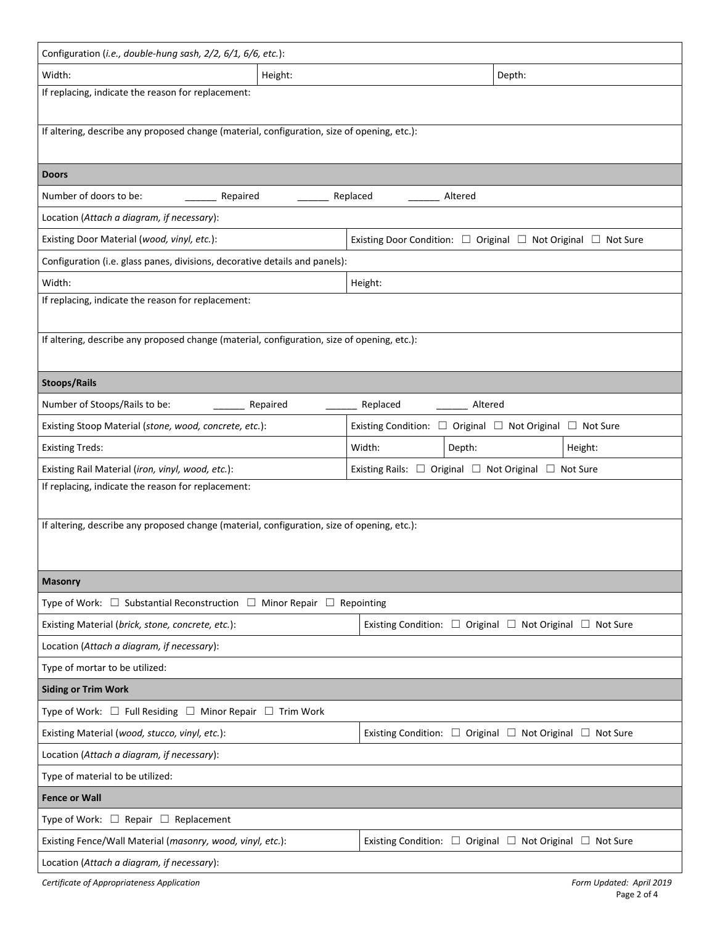| Configuration (i.e., double-hung sash, 2/2, 6/1, 6/6, etc.):                                                 |                   |          |                                                                         |         |
|--------------------------------------------------------------------------------------------------------------|-------------------|----------|-------------------------------------------------------------------------|---------|
| Width:                                                                                                       | Height:<br>Depth: |          |                                                                         |         |
| If replacing, indicate the reason for replacement:                                                           |                   |          |                                                                         |         |
| If altering, describe any proposed change (material, configuration, size of opening, etc.):                  |                   |          |                                                                         |         |
| <b>Doors</b>                                                                                                 |                   |          |                                                                         |         |
| Number of doors to be:<br>Repaired                                                                           |                   | Replaced | Altered                                                                 |         |
| Location (Attach a diagram, if necessary):                                                                   |                   |          |                                                                         |         |
| Existing Door Condition: □ Original □ Not Original □ Not Sure<br>Existing Door Material (wood, vinyl, etc.): |                   |          |                                                                         |         |
| Configuration (i.e. glass panes, divisions, decorative details and panels):                                  |                   |          |                                                                         |         |
| Width:                                                                                                       |                   | Height:  |                                                                         |         |
| If replacing, indicate the reason for replacement:                                                           |                   |          |                                                                         |         |
| If altering, describe any proposed change (material, configuration, size of opening, etc.):                  |                   |          |                                                                         |         |
| <b>Stoops/Rails</b>                                                                                          |                   |          |                                                                         |         |
| Number of Stoops/Rails to be:                                                                                | Repaired          | Replaced | Altered                                                                 |         |
| Existing Stoop Material (stone, wood, concrete, etc.):                                                       |                   |          | Existing Condition: $\Box$ Original $\Box$ Not Original $\Box$ Not Sure |         |
| <b>Existing Treds:</b>                                                                                       |                   | Width:   | Depth:                                                                  | Height: |
| Existing Rail Material (iron, vinyl, wood, etc.):                                                            |                   |          | Existing Rails: □ Original □ Not Original □ Not Sure                    |         |
| If replacing, indicate the reason for replacement:                                                           |                   |          |                                                                         |         |
| If altering, describe any proposed change (material, configuration, size of opening, etc.):                  |                   |          |                                                                         |         |
|                                                                                                              |                   |          |                                                                         |         |
| <b>Masonry</b>                                                                                               |                   |          |                                                                         |         |
| Type of Work: $\Box$ Substantial Reconstruction $\Box$ Minor Repair $\Box$ Repointing                        |                   |          |                                                                         |         |
| Existing Material (brick, stone, concrete, etc.):                                                            |                   |          | Existing Condition: $\Box$ Original $\Box$ Not Original $\Box$ Not Sure |         |
| Location (Attach a diagram, if necessary):                                                                   |                   |          |                                                                         |         |
| Type of mortar to be utilized:                                                                               |                   |          |                                                                         |         |
| <b>Siding or Trim Work</b>                                                                                   |                   |          |                                                                         |         |
| Type of Work: $\Box$ Full Residing $\Box$ Minor Repair $\Box$ Trim Work                                      |                   |          |                                                                         |         |
| Existing Material (wood, stucco, vinyl, etc.):                                                               |                   |          | Existing Condition: $\Box$ Original $\Box$ Not Original $\Box$ Not Sure |         |
| Location (Attach a diagram, if necessary):                                                                   |                   |          |                                                                         |         |
| Type of material to be utilized:                                                                             |                   |          |                                                                         |         |
| <b>Fence or Wall</b>                                                                                         |                   |          |                                                                         |         |
| Type of Work: $\Box$ Repair $\Box$ Replacement                                                               |                   |          |                                                                         |         |
| Existing Fence/Wall Material (masonry, wood, vinyl, etc.):                                                   |                   |          | Existing Condition: $\Box$ Original $\Box$ Not Original $\Box$ Not Sure |         |
| Location (Attach a diagram, if necessary):                                                                   |                   |          |                                                                         |         |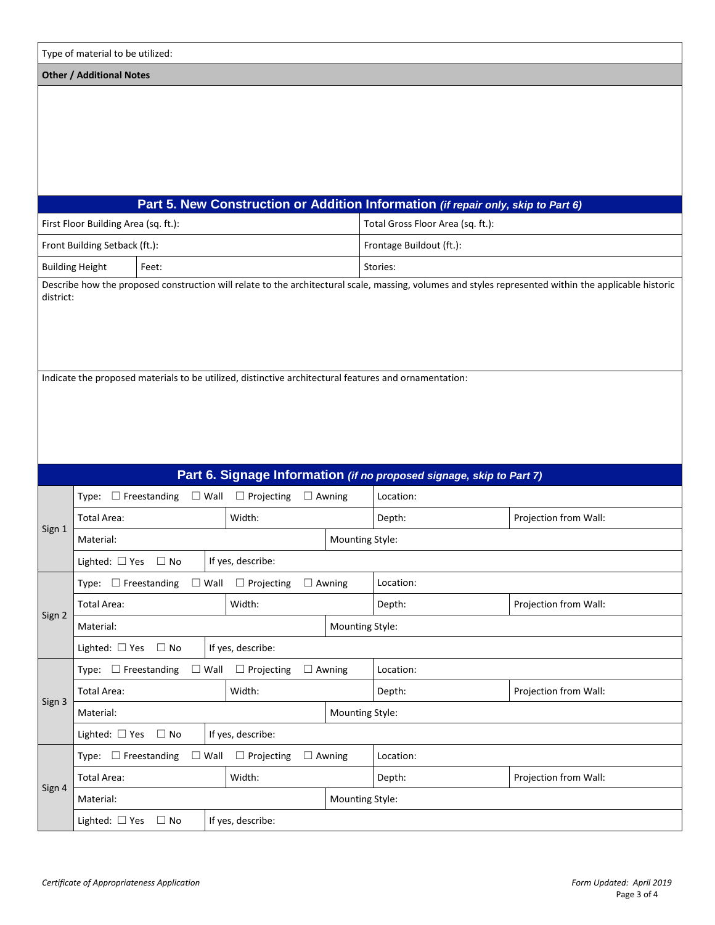| Type of material to be utilized:                                                                      |                                                                                                                                                                    |                               |                        |                                                                      |                       |  |
|-------------------------------------------------------------------------------------------------------|--------------------------------------------------------------------------------------------------------------------------------------------------------------------|-------------------------------|------------------------|----------------------------------------------------------------------|-----------------------|--|
| <b>Other / Additional Notes</b>                                                                       |                                                                                                                                                                    |                               |                        |                                                                      |                       |  |
|                                                                                                       |                                                                                                                                                                    |                               |                        |                                                                      |                       |  |
|                                                                                                       | Part 5. New Construction or Addition Information (if repair only, skip to Part 6)                                                                                  |                               |                        |                                                                      |                       |  |
|                                                                                                       | First Floor Building Area (sq. ft.):                                                                                                                               |                               |                        | Total Gross Floor Area (sq. ft.):                                    |                       |  |
|                                                                                                       | Front Building Setback (ft.):                                                                                                                                      |                               |                        | Frontage Buildout (ft.):                                             |                       |  |
|                                                                                                       | <b>Building Height</b><br>Feet:                                                                                                                                    |                               |                        | Stories:                                                             |                       |  |
|                                                                                                       | Describe how the proposed construction will relate to the architectural scale, massing, volumes and styles represented within the applicable historic<br>district: |                               |                        |                                                                      |                       |  |
| Indicate the proposed materials to be utilized, distinctive architectural features and ornamentation: |                                                                                                                                                                    |                               |                        |                                                                      |                       |  |
|                                                                                                       |                                                                                                                                                                    |                               |                        | Part 6. Signage Information (if no proposed signage, skip to Part 7) |                       |  |
|                                                                                                       | Type: $\Box$ Freestanding                                                                                                                                          | $\Box$ Wall $\Box$ Projecting | $\Box$ Awning          | Location:                                                            |                       |  |
| Sign 1                                                                                                | Total Area:                                                                                                                                                        | Width:                        |                        | Depth:                                                               | Projection from Wall: |  |
|                                                                                                       | Material:                                                                                                                                                          |                               | <b>Mounting Style:</b> |                                                                      |                       |  |
|                                                                                                       | Lighted: □ Yes □ No                                                                                                                                                | If yes, describe:             |                        |                                                                      |                       |  |
|                                                                                                       | Type: $\Box$ Freestanding<br>$\square$ Wall                                                                                                                        | $\Box$ Projecting             | $\Box$ Awning          | Location:                                                            |                       |  |
| Sign 2                                                                                                | Width:<br><b>Total Area:</b>                                                                                                                                       |                               | Depth:                 | Projection from Wall:                                                |                       |  |
|                                                                                                       | Material:                                                                                                                                                          |                               | Mounting Style:        |                                                                      |                       |  |
|                                                                                                       | Lighted: □ Yes □ No                                                                                                                                                | If yes, describe:             |                        |                                                                      |                       |  |
|                                                                                                       | Type: $\Box$ Freestanding                                                                                                                                          | $\Box$ Wall $\Box$ Projecting | $\Box$ Awning          | Location:                                                            |                       |  |
| Sign 3                                                                                                | Width:<br>Total Area:                                                                                                                                              |                               | Depth:                 | Projection from Wall:                                                |                       |  |
|                                                                                                       | Material:                                                                                                                                                          |                               | Mounting Style:        |                                                                      |                       |  |
| Lighted: □ Yes □ No<br>If yes, describe:                                                              |                                                                                                                                                                    |                               |                        |                                                                      |                       |  |
|                                                                                                       | Type: $\Box$ Freestanding                                                                                                                                          | $\Box$ Wall $\Box$ Projecting | $\Box$ Awning          | Location:                                                            |                       |  |
| Sign 4                                                                                                | Total Area:                                                                                                                                                        | Width:                        |                        | Depth:                                                               | Projection from Wall: |  |
|                                                                                                       | Material:                                                                                                                                                          |                               | Mounting Style:        |                                                                      |                       |  |
|                                                                                                       | Lighted: □ Yes □ No                                                                                                                                                | If yes, describe:             |                        |                                                                      |                       |  |